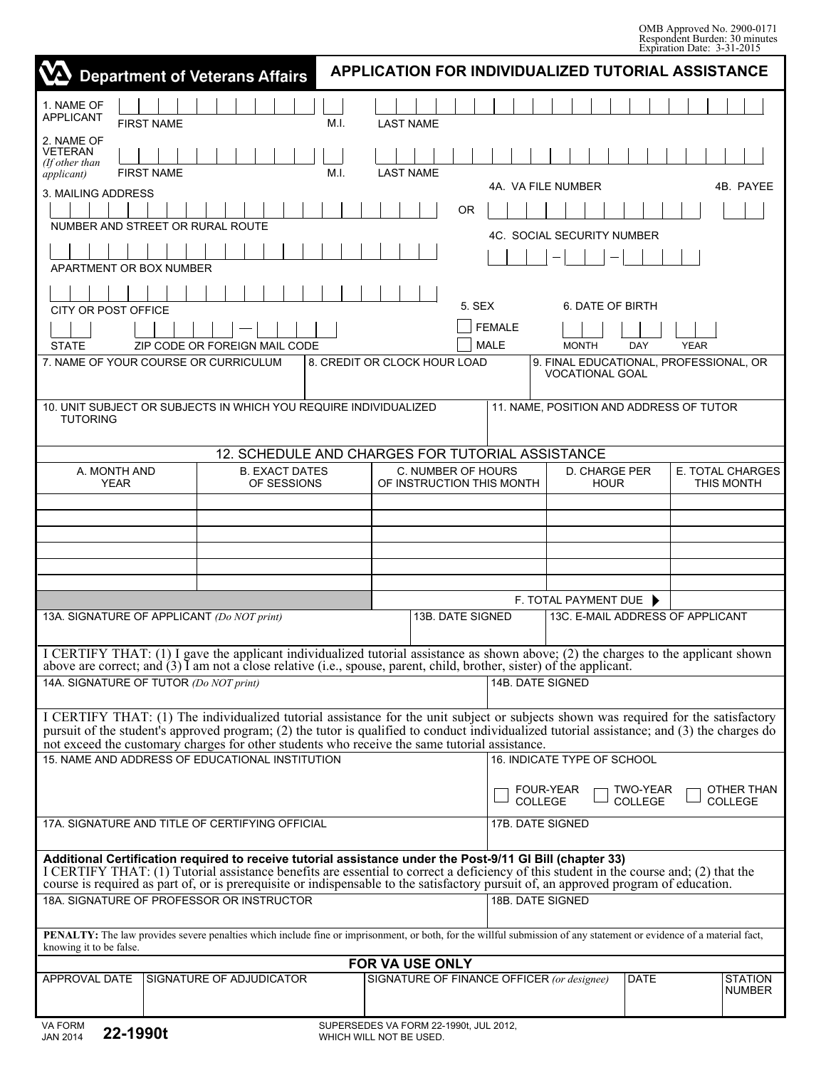OMB Approved No. 2900-0171 Respondent Burden: 30 minutes Expiration Date: 3-31-2015

| <b>APPLICATION FOR INDIVIDUALIZED TUTORIAL ASSISTANCE</b><br><b>Department of Veterans Affairs</b>                                                                                                                                                                                                                                                                                  |                                                             |                                                                                                                                                                                                                                                                                                                                                                                             |      |                                                 |                  |                                   |                                                        |                            |             |                                 |
|-------------------------------------------------------------------------------------------------------------------------------------------------------------------------------------------------------------------------------------------------------------------------------------------------------------------------------------------------------------------------------------|-------------------------------------------------------------|---------------------------------------------------------------------------------------------------------------------------------------------------------------------------------------------------------------------------------------------------------------------------------------------------------------------------------------------------------------------------------------------|------|-------------------------------------------------|------------------|-----------------------------------|--------------------------------------------------------|----------------------------|-------------|---------------------------------|
| 1. NAME OF<br><b>APPLICANT</b>                                                                                                                                                                                                                                                                                                                                                      | <b>FIRST NAME</b>                                           |                                                                                                                                                                                                                                                                                                                                                                                             | M.I. | <b>LAST NAME</b>                                |                  |                                   |                                                        |                            |             |                                 |
| 2. NAME OF<br><b>VETERAN</b><br>(If other than<br><i>applicant</i> )                                                                                                                                                                                                                                                                                                                | <b>FIRST NAME</b>                                           |                                                                                                                                                                                                                                                                                                                                                                                             | M.I. | <b>LAST NAME</b>                                |                  |                                   |                                                        |                            |             |                                 |
| 4A. VA FILE NUMBER<br>3. MAILING ADDRESS                                                                                                                                                                                                                                                                                                                                            |                                                             |                                                                                                                                                                                                                                                                                                                                                                                             |      |                                                 |                  |                                   |                                                        |                            |             | 4B. PAYEE                       |
|                                                                                                                                                                                                                                                                                                                                                                                     |                                                             |                                                                                                                                                                                                                                                                                                                                                                                             |      |                                                 |                  |                                   |                                                        |                            |             |                                 |
| NUMBER AND STREET OR RURAL ROUTE                                                                                                                                                                                                                                                                                                                                                    |                                                             |                                                                                                                                                                                                                                                                                                                                                                                             |      |                                                 |                  | <b>4C. SOCIAL SECURITY NUMBER</b> |                                                        |                            |             |                                 |
| APARTMENT OR BOX NUMBER                                                                                                                                                                                                                                                                                                                                                             |                                                             |                                                                                                                                                                                                                                                                                                                                                                                             |      |                                                 |                  |                                   |                                                        |                            |             |                                 |
|                                                                                                                                                                                                                                                                                                                                                                                     |                                                             |                                                                                                                                                                                                                                                                                                                                                                                             |      |                                                 |                  |                                   |                                                        |                            |             |                                 |
| 5. SEX<br>6. DATE OF BIRTH<br>CITY OR POST OFFICE                                                                                                                                                                                                                                                                                                                                   |                                                             |                                                                                                                                                                                                                                                                                                                                                                                             |      |                                                 |                  |                                   |                                                        |                            |             |                                 |
| <b>FEMALE</b>                                                                                                                                                                                                                                                                                                                                                                       |                                                             |                                                                                                                                                                                                                                                                                                                                                                                             |      |                                                 |                  |                                   |                                                        |                            |             |                                 |
| <b>STATE</b><br>7. NAME OF YOUR COURSE OR CURRICULUM                                                                                                                                                                                                                                                                                                                                |                                                             | ZIP CODE OR FOREIGN MAIL CODE                                                                                                                                                                                                                                                                                                                                                               |      | 8. CREDIT OR CLOCK HOUR LOAD                    |                  | <b>MALE</b>                       | <b>MONTH</b><br>9. FINAL EDUCATIONAL, PROFESSIONAL, OR | <b>DAY</b>                 | <b>YEAR</b> |                                 |
|                                                                                                                                                                                                                                                                                                                                                                                     |                                                             |                                                                                                                                                                                                                                                                                                                                                                                             |      |                                                 |                  |                                   | <b>VOCATIONAL GOAL</b>                                 |                            |             |                                 |
| <b>TUTORING</b>                                                                                                                                                                                                                                                                                                                                                                     |                                                             | 10. UNIT SUBJECT OR SUBJECTS IN WHICH YOU REQUIRE INDIVIDUALIZED                                                                                                                                                                                                                                                                                                                            |      |                                                 |                  |                                   | 11. NAME, POSITION AND ADDRESS OF TUTOR                |                            |             |                                 |
|                                                                                                                                                                                                                                                                                                                                                                                     |                                                             | 12. SCHEDULE AND CHARGES FOR TUTORIAL ASSISTANCE                                                                                                                                                                                                                                                                                                                                            |      |                                                 |                  |                                   |                                                        |                            |             |                                 |
| A. MONTH AND<br><b>YEAR</b>                                                                                                                                                                                                                                                                                                                                                         |                                                             | <b>B. EXACT DATES</b><br>OF SESSIONS                                                                                                                                                                                                                                                                                                                                                        |      | C. NUMBER OF HOURS<br>OF INSTRUCTION THIS MONTH |                  |                                   | <b>D. CHARGE PER</b><br><b>HOUR</b>                    |                            |             | E. TOTAL CHARGES<br>THIS MONTH  |
|                                                                                                                                                                                                                                                                                                                                                                                     |                                                             |                                                                                                                                                                                                                                                                                                                                                                                             |      |                                                 |                  |                                   |                                                        |                            |             |                                 |
|                                                                                                                                                                                                                                                                                                                                                                                     |                                                             |                                                                                                                                                                                                                                                                                                                                                                                             |      |                                                 |                  |                                   |                                                        |                            |             |                                 |
|                                                                                                                                                                                                                                                                                                                                                                                     |                                                             |                                                                                                                                                                                                                                                                                                                                                                                             |      |                                                 |                  |                                   |                                                        |                            |             |                                 |
|                                                                                                                                                                                                                                                                                                                                                                                     |                                                             |                                                                                                                                                                                                                                                                                                                                                                                             |      |                                                 |                  |                                   |                                                        |                            |             |                                 |
|                                                                                                                                                                                                                                                                                                                                                                                     |                                                             |                                                                                                                                                                                                                                                                                                                                                                                             |      |                                                 |                  |                                   | F. TOTAL PAYMENT DUE ▶                                 |                            |             |                                 |
| 13A. SIGNATURE OF APPLICANT (Do NOT print)                                                                                                                                                                                                                                                                                                                                          | <b>13B. DATE SIGNED</b><br>13C. E-MAIL ADDRESS OF APPLICANT |                                                                                                                                                                                                                                                                                                                                                                                             |      |                                                 |                  |                                   |                                                        |                            |             |                                 |
|                                                                                                                                                                                                                                                                                                                                                                                     |                                                             | I CERTIFY THAT: (1) I gave the applicant individualized tutorial assistance as shown above; (2) the charges to the applicant shown<br>above are correct; and $(3)$ I am not a close relative (i.e., spouse, parent, child, brother, sister) of the applicant.                                                                                                                               |      |                                                 |                  |                                   |                                                        |                            |             |                                 |
| 14A. SIGNATURE OF TUTOR (Do NOT print)                                                                                                                                                                                                                                                                                                                                              |                                                             |                                                                                                                                                                                                                                                                                                                                                                                             |      |                                                 | 14B, DATE SIGNED |                                   |                                                        |                            |             |                                 |
| I CERTIFY THAT: (1) The individualized tutorial assistance for the unit subject or subjects shown was required for the satisfactory<br>pursuit of the student's approved program; (2) the tutor is qualified to conduct individualized tutorial assistance; and (3) the charges do<br>not exceed the customary charges for other students who receive the same tutorial assistance. |                                                             |                                                                                                                                                                                                                                                                                                                                                                                             |      |                                                 |                  |                                   |                                                        |                            |             |                                 |
| 15. NAME AND ADDRESS OF EDUCATIONAL INSTITUTION                                                                                                                                                                                                                                                                                                                                     |                                                             |                                                                                                                                                                                                                                                                                                                                                                                             |      |                                                 |                  | 16. INDICATE TYPE OF SCHOOL       |                                                        |                            |             |                                 |
|                                                                                                                                                                                                                                                                                                                                                                                     |                                                             |                                                                                                                                                                                                                                                                                                                                                                                             |      |                                                 |                  | <b>COLLEGE</b>                    | FOUR-YEAR                                              | TWO-YEAR<br><b>COLLEGE</b> |             | OTHER THAN<br><b>COLLEGE</b>    |
| 17A. SIGNATURE AND TITLE OF CERTIFYING OFFICIAL                                                                                                                                                                                                                                                                                                                                     |                                                             |                                                                                                                                                                                                                                                                                                                                                                                             |      |                                                 |                  | 17B. DATE SIGNED                  |                                                        |                            |             |                                 |
|                                                                                                                                                                                                                                                                                                                                                                                     |                                                             | Additional Certification required to receive tutorial assistance under the Post-9/11 GI Bill (chapter 33)<br>I CERTIFY THAT: (1) Tutorial assistance benefits are essential to correct a deficiency of this student in the course and; (2) that the<br>course is required as part of, or is prerequisite or indispensable to the satisfactory pursuit of, an approved program of education. |      |                                                 |                  |                                   |                                                        |                            |             |                                 |
|                                                                                                                                                                                                                                                                                                                                                                                     |                                                             | 18A. SIGNATURE OF PROFESSOR OR INSTRUCTOR                                                                                                                                                                                                                                                                                                                                                   |      |                                                 |                  | 18B. DATE SIGNED                  |                                                        |                            |             |                                 |
| <b>PENALTY:</b> The law provides severe penalties which include fine or imprisonment, or both, for the willful submission of any statement or evidence of a material fact,<br>knowing it to be false.                                                                                                                                                                               |                                                             |                                                                                                                                                                                                                                                                                                                                                                                             |      |                                                 |                  |                                   |                                                        |                            |             |                                 |
|                                                                                                                                                                                                                                                                                                                                                                                     |                                                             |                                                                                                                                                                                                                                                                                                                                                                                             |      | FOR VA USE ONLY                                 |                  |                                   |                                                        |                            |             |                                 |
| APPROVAL DATE                                                                                                                                                                                                                                                                                                                                                                       |                                                             | SIGNATURE OF ADJUDICATOR                                                                                                                                                                                                                                                                                                                                                                    |      | SIGNATURE OF FINANCE OFFICER (or designee)      |                  |                                   |                                                        | <b>DATE</b>                |             | <b>STATION</b><br><b>NUMBER</b> |
|                                                                                                                                                                                                                                                                                                                                                                                     |                                                             |                                                                                                                                                                                                                                                                                                                                                                                             |      |                                                 |                  |                                   |                                                        |                            |             |                                 |